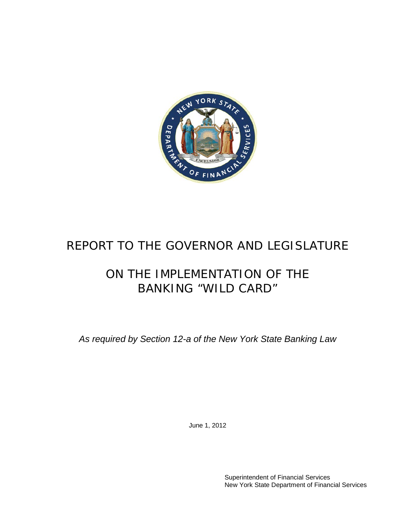

# REPORT TO THE GOVERNOR AND LEGISLATURE

# ON THE IMPLEMENTATION OF THE BANKING "WILD CARD"

*As required by Section 12-a of the New York State Banking Law*

June 1, 2012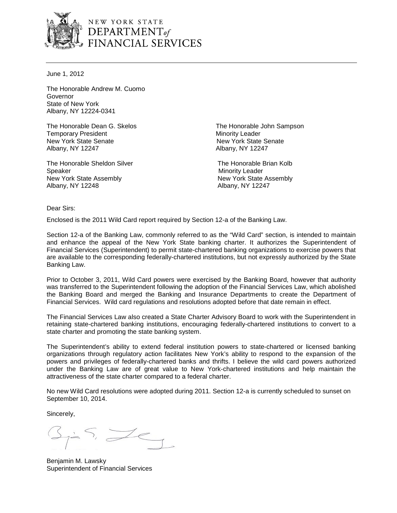

NEW YORK STATE DEPARTMENT<sub>of</sub><br>FINANCIAL SERVICES

June 1, 2012

The Honorable Andrew M. Cuomo Governor State of New York Albany, NY 12224-0341

The Honorable Dean G. Skelos The Honorable John Sampson **Temporary President Minority Leader** Minority Leader New York State Senate New York State Senate Albany, NY 12247 Albany, NY 12247

The Honorable Sheldon Silver The Honorable Brian Kolb Speaker Minority Leader New York State Assembly New York State Assembly Albany, NY 12248 Albany, NY 12247

Dear Sirs:

Enclosed is the 2011 Wild Card report required by Section 12-a of the Banking Law.

Section 12-a of the Banking Law, commonly referred to as the "Wild Card" section, is intended to maintain and enhance the appeal of the New York State banking charter. It authorizes the Superintendent of Financial Services (Superintendent) to permit state-chartered banking organizations to exercise powers that are available to the corresponding federally-chartered institutions, but not expressly authorized by the State Banking Law.

Prior to October 3, 2011, Wild Card powers were exercised by the Banking Board, however that authority was transferred to the Superintendent following the adoption of the Financial Services Law, which abolished the Banking Board and merged the Banking and Insurance Departments to create the Department of Financial Services. Wild card regulations and resolutions adopted before that date remain in effect.

The Financial Services Law also created a State Charter Advisory Board to work with the Superintendent in retaining state-chartered banking institutions, encouraging federally-chartered institutions to convert to a state charter and promoting the state banking system.

The Superintendent's ability to extend federal institution powers to state-chartered or licensed banking organizations through regulatory action facilitates New York's ability to respond to the expansion of the powers and privileges of federally-chartered banks and thrifts. I believe the wild card powers authorized under the Banking Law are of great value to New York-chartered institutions and help maintain the attractiveness of the state charter compared to a federal charter.

No new Wild Card resolutions were adopted during 2011. Section 12-a is currently scheduled to sunset on September 10, 2014.

Sincerely,

Benjamin M. Lawsky Superintendent of Financial Services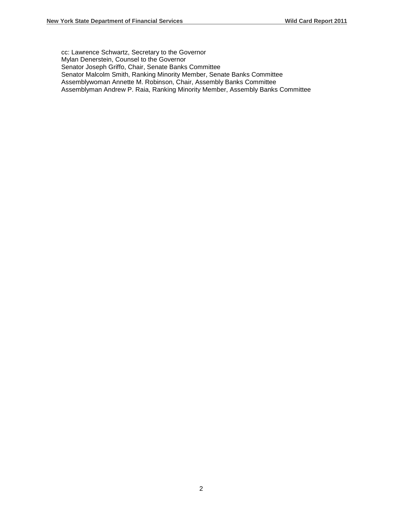cc: Lawrence Schwartz, Secretary to the Governor Mylan Denerstein, Counsel to the Governor Senator Joseph Griffo, Chair, Senate Banks Committee Senator Malcolm Smith, Ranking Minority Member, Senate Banks Committee Assemblywoman Annette M. Robinson, Chair, Assembly Banks Committee Assemblyman Andrew P. Raia, Ranking Minority Member, Assembly Banks Committee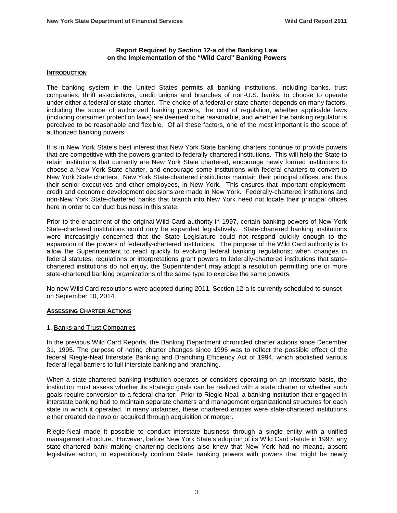#### **Report Required by Section 12-a of the Banking Law on the Implementation of the "Wild Card" Banking Powers**

#### **INTRODUCTION**

The banking system in the United States permits all banking institutions, including banks, trust companies, thrift associations, credit unions and branches of non-U.S. banks, to choose to operate under either a federal or state charter. The choice of a federal or state charter depends on many factors, including the scope of authorized banking powers, the cost of regulation, whether applicable laws (including consumer protection laws) are deemed to be reasonable, and whether the banking regulator is perceived to be reasonable and flexible. Of all these factors, one of the most important is the scope of authorized banking powers.

It is in New York State's best interest that New York State banking charters continue to provide powers that are competitive with the powers granted to federally-chartered institutions. This will help the State to retain institutions that currently are New York State chartered, encourage newly formed institutions to choose a New York State charter, and encourage some institutions with federal charters to convert to New York State charters. New York State-chartered institutions maintain their principal offices, and thus their senior executives and other employees, in New York. This ensures that important employment, credit and economic development decisions are made in New York. Federally-chartered institutions and non-New York State-chartered banks that branch into New York need not locate their principal offices here in order to conduct business in this state.

Prior to the enactment of the original Wild Card authority in 1997, certain banking powers of New York State-chartered institutions could only be expanded legislatively. State-chartered banking institutions were increasingly concerned that the State Legislature could not respond quickly enough to the expansion of the powers of federally-chartered institutions. The purpose of the Wild Card authority is to allow the Superintendent to react quickly to evolving federal banking regulations; when changes in federal statutes, regulations or interpretations grant powers to federally-chartered institutions that statechartered institutions do not enjoy, the Superintendent may adopt a resolution permitting one or more state-chartered banking organizations of the same type to exercise the same powers.

No new Wild Card resolutions were adopted during 2011. Section 12-a is currently scheduled to sunset on September 10, 2014.

#### **ASSESSING CHARTER ACTIONS**

#### 1. Banks and Trust Companies

In the previous Wild Card Reports, the Banking Department chronicled charter actions since December 31, 1995. The purpose of noting charter changes since 1995 was to reflect the possible effect of the federal Riegle-Neal Interstate Banking and Branching Efficiency Act of 1994, which abolished various federal legal barriers to full interstate banking and branching.

When a state-chartered banking institution operates or considers operating on an interstate basis, the institution must assess whether its strategic goals can be realized with a state charter or whether such goals require conversion to a federal charter. Prior to Riegle-Neal, a banking institution that engaged in interstate banking had to maintain separate charters and management organizational structures for each state in which it operated. In many instances, these chartered entities were state-chartered institutions either created de novo or acquired through acquisition or merger.

Riegle-Neal made it possible to conduct interstate business through a single entity with a unified management structure. However, before New York State's adoption of its Wild Card statute in 1997, any state-chartered bank making chartering decisions also knew that New York had no means, absent legislative action, to expeditiously conform State banking powers with powers that might be newly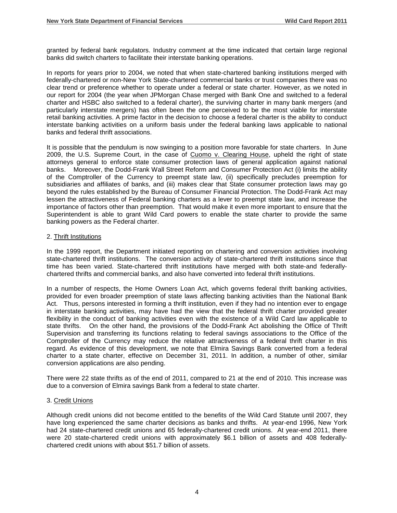granted by federal bank regulators. Industry comment at the time indicated that certain large regional banks did switch charters to facilitate their interstate banking operations.

In reports for years prior to 2004, we noted that when state-chartered banking institutions merged with federally-chartered or non-New York State-chartered commercial banks or trust companies there was no clear trend or preference whether to operate under a federal or state charter. However, as we noted in our report for 2004 (the year when JPMorgan Chase merged with Bank One and switched to a federal charter and HSBC also switched to a federal charter), the surviving charter in many bank mergers (and particularly interstate mergers) has often been the one perceived to be the most viable for interstate retail banking activities. A prime factor in the decision to choose a federal charter is the ability to conduct interstate banking activities on a uniform basis under the federal banking laws applicable to national banks and federal thrift associations.

It is possible that the pendulum is now swinging to a position more favorable for state charters. In June 2009, the U.S. Supreme Court, in the case of Cuomo v. Clearing House, upheld the right of state attorneys general to enforce state consumer protection laws of general application against national banks. Moreover, the Dodd-Frank Wall Street Reform and Consumer Protection Act (i) limits the ability of the Comptroller of the Currency to preempt state law, (ii) specifically precludes preemption for subsidiaries and affiliates of banks, and (iii) makes clear that State consumer protection laws may go beyond the rules established by the Bureau of Consumer Financial Protection. The Dodd-Frank Act may lessen the attractiveness of Federal banking charters as a lever to preempt state law, and increase the importance of factors other than preemption. That would make it even more important to ensure that the Superintendent is able to grant Wild Card powers to enable the state charter to provide the same banking powers as the Federal charter.

#### 2. Thrift Institutions

In the 1999 report, the Department initiated reporting on chartering and conversion activities involving state-chartered thrift institutions. The conversion activity of state-chartered thrift institutions since that time has been varied. State-chartered thrift institutions have merged with both state-and federallychartered thrifts and commercial banks, and also have converted into federal thrift institutions.

In a number of respects, the Home Owners Loan Act, which governs federal thrift banking activities, provided for even broader preemption of state laws affecting banking activities than the National Bank Act. Thus, persons interested in forming a thrift institution, even if they had no intention ever to engage in interstate banking activities, may have had the view that the federal thrift charter provided greater flexibility in the conduct of banking activities even with the existence of a Wild Card law applicable to state thrifts. On the other hand, the provisions of the Dodd-Frank Act abolishing the Office of Thrift Supervision and transferring its functions relating to federal savings associations to the Office of the Comptroller of the Currency may reduce the relative attractiveness of a federal thrift charter in this regard. As evidence of this development, we note that Elmira Savings Bank converted from a federal charter to a state charter, effective on December 31, 2011. In addition, a number of other, similar conversion applications are also pending.

There were 22 state thrifts as of the end of 2011, compared to 21 at the end of 2010. This increase was due to a conversion of Elmira savings Bank from a federal to state charter.

#### 3. Credit Unions

Although credit unions did not become entitled to the benefits of the Wild Card Statute until 2007, they have long experienced the same charter decisions as banks and thrifts. At year-end 1996, New York had 24 state-chartered credit unions and 65 federally-chartered credit unions. At year-end 2011, there were 20 state-chartered credit unions with approximately \$6.1 billion of assets and 408 federallychartered credit unions with about \$51.7 billion of assets.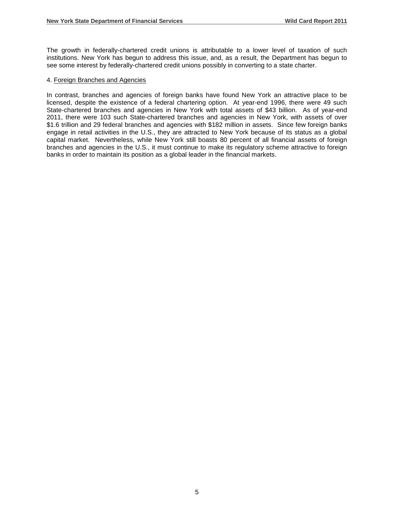The growth in federally-chartered credit unions is attributable to a lower level of taxation of such institutions. New York has begun to address this issue, and, as a result, the Department has begun to see some interest by federally-chartered credit unions possibly in converting to a state charter.

#### 4. Foreign Branches and Agencies

In contrast, branches and agencies of foreign banks have found New York an attractive place to be licensed, despite the existence of a federal chartering option. At year-end 1996, there were 49 such State-chartered branches and agencies in New York with total assets of \$43 billion. As of year-end 2011, there were 103 such State-chartered branches and agencies in New York, with assets of over \$1.6 trillion and 29 federal branches and agencies with \$182 million in assets. Since few foreign banks engage in retail activities in the U.S., they are attracted to New York because of its status as a global capital market. Nevertheless, while New York still boasts 80 percent of all financial assets of foreign branches and agencies in the U.S., it must continue to make its regulatory scheme attractive to foreign banks in order to maintain its position as a global leader in the financial markets.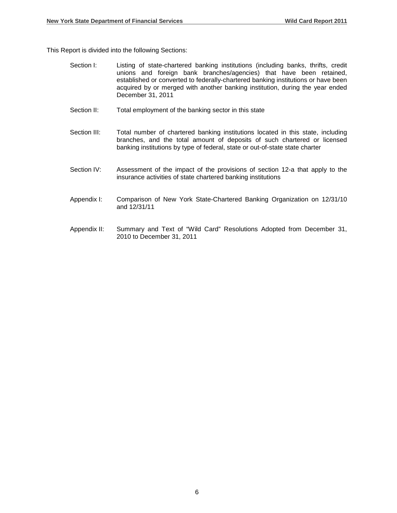This Report is divided into the following Sections:

- Section I: Listing of state-chartered banking institutions (including banks, thrifts, credit unions and foreign bank branches/agencies) that have been retained, established or converted to federally-chartered banking institutions or have been acquired by or merged with another banking institution, during the year ended December 31, 2011
- Section II: Total employment of the banking sector in this state
- Section III: Total number of chartered banking institutions located in this state, including branches, and the total amount of deposits of such chartered or licensed banking institutions by type of federal, state or out-of-state state charter
- Section IV: Assessment of the impact of the provisions of section 12-a that apply to the insurance activities of state chartered banking institutions
- Appendix I: Comparison of New York State-Chartered Banking Organization on 12/31/10 and 12/31/11
- Appendix II: Summary and Text of "Wild Card" Resolutions Adopted from December 31, 2010 to December 31, 2011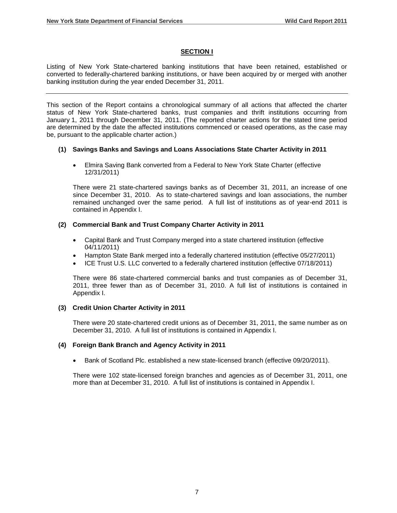#### **SECTION I**

Listing of New York State-chartered banking institutions that have been retained, established or converted to federally-chartered banking institutions, or have been acquired by or merged with another banking institution during the year ended December 31, 2011.

This section of the Report contains a chronological summary of all actions that affected the charter status of New York State-chartered banks, trust companies and thrift institutions occurring from January 1, 2011 through December 31, 2011. (The reported charter actions for the stated time period are determined by the date the affected institutions commenced or ceased operations, as the case may be, pursuant to the applicable charter action.)

#### **(1) Savings Banks and Savings and Loans Associations State Charter Activity in 2011**

• Elmira Saving Bank converted from a Federal to New York State Charter (effective 12/31/2011)

There were 21 state-chartered savings banks as of December 31, 2011, an increase of one since December 31, 2010. As to state-chartered savings and loan associations, the number remained unchanged over the same period. A full list of institutions as of year-end 2011 is contained in Appendix I.

#### **(2) Commercial Bank and Trust Company Charter Activity in 2011**

- Capital Bank and Trust Company merged into a state chartered institution (effective 04/11/2011)
- Hampton State Bank merged into a federally chartered institution (effective 05/27/2011)
- ICE Trust U.S. LLC converted to a federally chartered institution (effective 07/18/2011)

There were 86 state-chartered commercial banks and trust companies as of December 31, 2011, three fewer than as of December 31, 2010. A full list of institutions is contained in Appendix I.

#### **(3) Credit Union Charter Activity in 2011**

There were 20 state-chartered credit unions as of December 31, 2011, the same number as on December 31, 2010. A full list of institutions is contained in Appendix I.

#### **(4) Foreign Bank Branch and Agency Activity in 2011**

• Bank of Scotland Plc. established a new state-licensed branch (effective 09/20/2011).

There were 102 state-licensed foreign branches and agencies as of December 31, 2011, one more than at December 31, 2010. A full list of institutions is contained in Appendix I.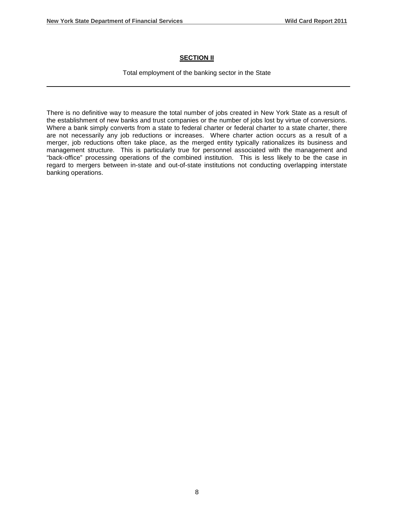#### **SECTION II**

Total employment of the banking sector in the State

There is no definitive way to measure the total number of jobs created in New York State as a result of the establishment of new banks and trust companies or the number of jobs lost by virtue of conversions. Where a bank simply converts from a state to federal charter or federal charter to a state charter, there are not necessarily any job reductions or increases. Where charter action occurs as a result of a merger, job reductions often take place, as the merged entity typically rationalizes its business and management structure. This is particularly true for personnel associated with the management and "back-office" processing operations of the combined institution. This is less likely to be the case in regard to mergers between in-state and out-of-state institutions not conducting overlapping interstate banking operations.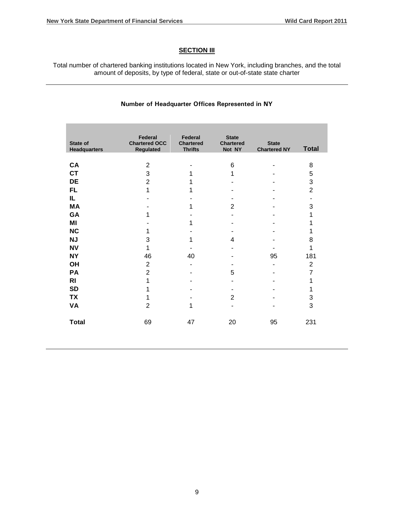#### **SECTION III**

Total number of chartered banking institutions located in New York, including branches, and the total amount of deposits, by type of federal, state or out-of-state state charter

#### **Number of Headquarter Offices Represented in NY**

| <b>State of</b><br><b>Headquarters</b> | Federal<br><b>Chartered OCC</b><br>Regulated | <b>Federal</b><br><b>Chartered</b><br><b>Thrifts</b> | <b>State</b><br><b>Chartered</b><br>Not NY | <b>State</b><br><b>Chartered NY</b> | <b>Total</b>   |
|----------------------------------------|----------------------------------------------|------------------------------------------------------|--------------------------------------------|-------------------------------------|----------------|
|                                        |                                              |                                                      |                                            |                                     |                |
| CA                                     | $\overline{2}$                               |                                                      | 6                                          |                                     | 8              |
| <b>CT</b>                              | 3                                            | 1                                                    | 1                                          |                                     | 5              |
| DE                                     | $\overline{2}$                               | 1                                                    |                                            |                                     | 3              |
| FL.                                    | 1                                            | 1                                                    |                                            |                                     | $\overline{2}$ |
| IL.                                    |                                              |                                                      |                                            |                                     |                |
| МA                                     |                                              | 1                                                    | $\overline{2}$                             |                                     | 3              |
| GA                                     | 1                                            |                                                      |                                            |                                     | 1              |
| MI                                     |                                              | 1                                                    |                                            |                                     | 1              |
| <b>NC</b>                              | 1                                            |                                                      |                                            |                                     | 1              |
| <b>NJ</b>                              | 3                                            | 1                                                    | 4                                          |                                     | 8              |
| <b>NV</b>                              | 1                                            |                                                      |                                            |                                     | 1              |
| <b>NY</b>                              | 46                                           | 40                                                   |                                            | 95                                  | 181            |
| <b>OH</b>                              | $\overline{2}$                               |                                                      |                                            | ۰                                   | $\overline{2}$ |
| PA                                     | $\overline{2}$                               |                                                      | 5                                          |                                     | 7              |
| <b>RI</b>                              | 1                                            |                                                      |                                            |                                     | 1              |
| <b>SD</b>                              | 1                                            |                                                      |                                            |                                     | 1              |
| TX                                     | 1                                            |                                                      | $\overline{2}$                             |                                     | 3              |
| VA                                     | $\overline{2}$                               | 1                                                    | ۰                                          |                                     | 3              |
| <b>Total</b>                           | 69                                           | 47                                                   | 20                                         | 95                                  | 231            |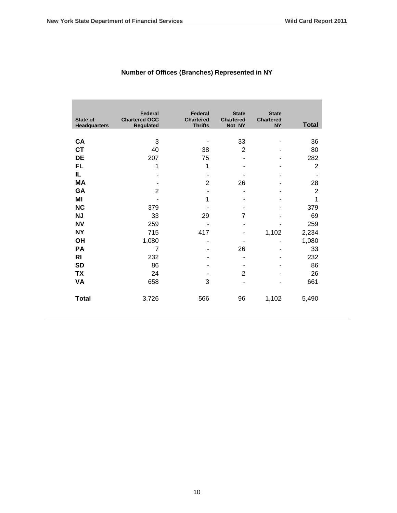**The Co** 

| <b>State of</b><br><b>Headquarters</b> | Federal<br><b>Chartered OCC</b><br><b>Regulated</b> | Federal<br><b>Chartered</b><br><b>Thrifts</b> | <b>State</b><br><b>Chartered</b><br>Not NY | <b>State</b><br><b>Chartered</b><br><b>NY</b> | <b>Total</b>   |
|----------------------------------------|-----------------------------------------------------|-----------------------------------------------|--------------------------------------------|-----------------------------------------------|----------------|
| CA                                     | 3                                                   |                                               | 33                                         |                                               | 36             |
| <b>CT</b>                              | 40                                                  | 38                                            | $\overline{2}$                             |                                               | 80             |
| DE                                     | 207                                                 | 75                                            |                                            |                                               | 282            |
| FL.                                    | 1                                                   | 1                                             |                                            |                                               | $\overline{2}$ |
| IL.                                    |                                                     |                                               |                                            |                                               |                |
| MА                                     |                                                     | $\overline{2}$                                | 26                                         |                                               | 28             |
| GA                                     | $\overline{2}$                                      |                                               | -                                          |                                               | $\overline{2}$ |
| ΜI                                     |                                                     | 1                                             |                                            |                                               | 1              |
| <b>NC</b>                              | 379                                                 |                                               |                                            |                                               | 379            |
| <b>NJ</b>                              | 33                                                  | 29                                            | 7                                          |                                               | 69             |
| <b>NV</b>                              | 259                                                 | $\blacksquare$                                |                                            |                                               | 259            |
| <b>NY</b>                              | 715                                                 | 417                                           |                                            | 1,102                                         | 2,234          |
| <b>OH</b>                              | 1,080                                               |                                               |                                            |                                               | 1,080          |
| PA                                     | $\overline{7}$                                      |                                               | 26                                         |                                               | 33             |
| RI                                     | 232                                                 |                                               | -                                          |                                               | 232            |
| <b>SD</b>                              | 86                                                  |                                               |                                            |                                               | 86             |
| <b>TX</b>                              | 24                                                  |                                               | $\overline{2}$                             |                                               | 26             |
| VA                                     | 658                                                 | 3                                             |                                            |                                               | 661            |
| <b>Total</b>                           | 3,726                                               | 566                                           | 96                                         | 1,102                                         | 5,490          |

# **Number of Offices (Branches) Represented in NY**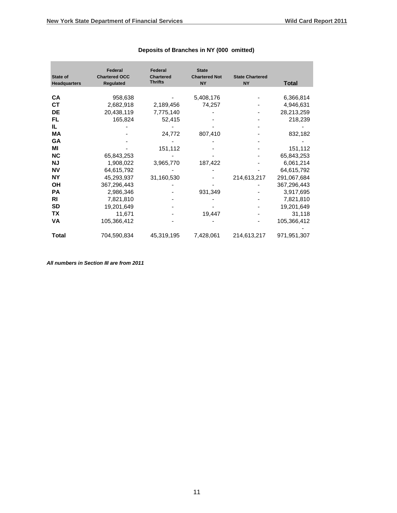|                     | Federal              | Federal          | <b>State</b>         |                        |              |
|---------------------|----------------------|------------------|----------------------|------------------------|--------------|
| State of            | <b>Chartered OCC</b> | <b>Chartered</b> | <b>Chartered Not</b> | <b>State Chartered</b> |              |
| <b>Headquarters</b> | <b>Regulated</b>     | <b>Thrifts</b>   | <b>NY</b>            | <b>NY</b>              | <b>Total</b> |
|                     |                      |                  |                      |                        |              |
| <b>CA</b>           | 958,638              |                  | 5,408,176            |                        | 6,366,814    |
| <b>CT</b>           | 2,682,918            | 2,189,456        | 74,257               |                        | 4,946,631    |
| <b>DE</b>           | 20,438,119           | 7,775,140        |                      |                        | 28,213,259   |
| FL                  | 165,824              | 52,415           |                      |                        | 218,239      |
| IL                  |                      |                  |                      |                        |              |
| МA                  |                      | 24,772           | 807,410              |                        | 832,182      |
| <b>GA</b>           |                      |                  |                      |                        |              |
| ΜI                  |                      | 151,112          |                      |                        | 151,112      |
| <b>NC</b>           | 65,843,253           |                  |                      |                        | 65,843,253   |
| <b>NJ</b>           | 1,908,022            | 3,965,770        | 187,422              |                        | 6,061,214    |
| <b>NV</b>           | 64,615,792           |                  |                      |                        | 64,615,792   |
| <b>NY</b>           | 45,293,937           | 31,160,530       |                      | 214,613,217            | 291,067,684  |
| <b>OH</b>           | 367,296,443          |                  |                      |                        | 367,296,443  |
| <b>PA</b>           | 2,986,346            |                  | 931,349              |                        | 3,917,695    |
| RI                  | 7,821,810            |                  |                      |                        | 7,821,810    |
| <b>SD</b>           | 19,201,649           |                  |                      |                        | 19,201,649   |
| ТX                  | 11,671               |                  | 19,447               |                        | 31,118       |
| VA                  | 105,366,412          |                  |                      |                        | 105,366,412  |
| <b>Total</b>        | 704,590,834          | 45,319,195       | 7,428,061            | 214,613,217            | 971,951,307  |

#### **Deposits of Branches in NY (000 omitted)**

*All numbers in Section III are from 2011*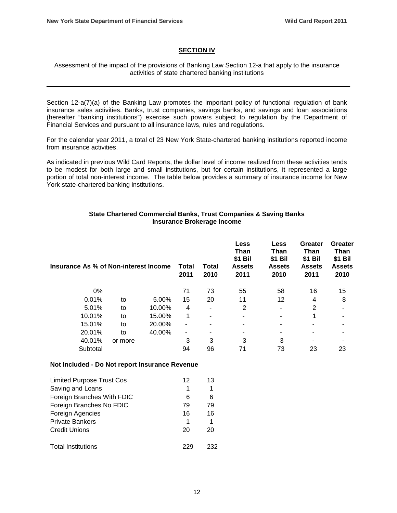#### **SECTION IV**

Assessment of the impact of the provisions of Banking Law Section 12-a that apply to the insurance activities of state chartered banking institutions

Section 12-a(7)(a) of the Banking Law promotes the important policy of functional regulation of bank insurance sales activities. Banks, trust companies, savings banks, and savings and loan associations (hereafter "banking institutions") exercise such powers subject to regulation by the Department of Financial Services and pursuant to all insurance laws, rules and regulations.

For the calendar year 2011, a total of 23 New York State-chartered banking institutions reported income from insurance activities.

As indicated in previous Wild Card Reports, the dollar level of income realized from these activities tends to be modest for both large and small institutions, but for certain institutions, it represented a large portion of total non-interest income. The table below provides a summary of insurance income for New York state-chartered banking institutions.

#### **State Chartered Commercial Banks, Trust Companies & Saving Banks Insurance Brokerage Income**

| Insurance As % of Non-interest Income |         |        | Total<br>2011 | Total<br>2010  | <b>Less</b><br>Than<br>\$1 Bil<br><b>Assets</b><br>2011 | Less<br>Than<br>\$1 Bil<br><b>Assets</b><br>2010 | Greater<br>Than<br>\$1 Bil<br><b>Assets</b><br>2011 | Greater<br>Than<br>\$1 Bil<br><b>Assets</b><br>2010 |
|---------------------------------------|---------|--------|---------------|----------------|---------------------------------------------------------|--------------------------------------------------|-----------------------------------------------------|-----------------------------------------------------|
| 0%                                    |         |        | 71            | 73             | 55                                                      | 58                                               | 16                                                  | 15                                                  |
| 0.01%                                 | to      | 5.00%  | 15            | 20             | 11                                                      | 12                                               | 4                                                   | 8                                                   |
| 5.01%                                 | to      | 10.00% | 4             | $\blacksquare$ | 2                                                       | $\blacksquare$                                   | $\overline{2}$                                      |                                                     |
| 10.01%                                | to      | 15.00% | 1             |                |                                                         | ۰                                                | 1                                                   |                                                     |
| 15.01%                                | to      | 20.00% | ٠             |                | $\blacksquare$                                          |                                                  | ۰                                                   |                                                     |
| 20.01%                                | to      | 40.00% | ٠             |                |                                                         |                                                  |                                                     |                                                     |
| 40.01%                                | or more |        | 3             | 3              | 3                                                       | 3                                                |                                                     |                                                     |
| Subtotal                              |         |        | 94            | 96             | 71                                                      | 73                                               | 23                                                  | 23                                                  |

#### **Not Included - Do Not report Insurance Revenue**

| <b>Limited Purpose Trust Cos</b> | 12 | 13  |
|----------------------------------|----|-----|
| Saving and Loans                 | 1  |     |
| Foreign Branches With FDIC       | 6  | 6   |
| Foreign Branches No FDIC         | 79 | 79  |
| Foreign Agencies                 | 16 | 16  |
| <b>Private Bankers</b>           |    |     |
| <b>Credit Unions</b>             | 20 | 20  |
| <b>Total Institutions</b>        |    | フマフ |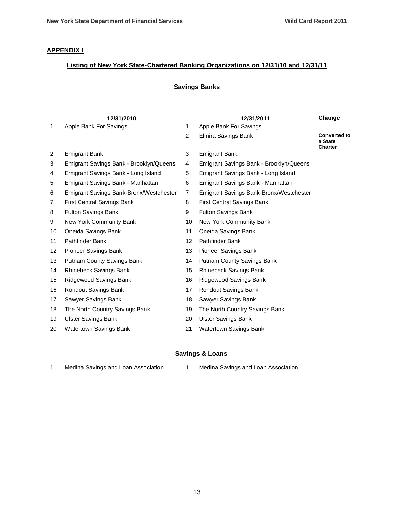#### **APPENDIX I**

## **Listing of New York State-Chartered Banking Organizations on 12/31/10 and 12/31/11**

### **Savings Banks**

|                   | 12/31/2010                              |                | 12/31/2011                              | Change                                           |
|-------------------|-----------------------------------------|----------------|-----------------------------------------|--------------------------------------------------|
| $\mathbf{1}$      | Apple Bank For Savings                  | $\mathbf{1}$   | Apple Bank For Savings                  |                                                  |
|                   |                                         | $\overline{2}$ | Elmira Savings Bank                     | <b>Converted to</b><br>a State<br><b>Charter</b> |
| $\overline{2}$    | <b>Emigrant Bank</b>                    | 3              | <b>Emigrant Bank</b>                    |                                                  |
| 3                 | Emigrant Savings Bank - Brooklyn/Queens | 4              | Emigrant Savings Bank - Brooklyn/Queens |                                                  |
| 4                 | Emigrant Savings Bank - Long Island     | 5              | Emigrant Savings Bank - Long Island     |                                                  |
| 5                 | Emigrant Savings Bank - Manhattan       | 6              | Emigrant Savings Bank - Manhattan       |                                                  |
| 6                 | Emigrant Savings Bank-Bronx/Westchester | $\overline{7}$ | Emigrant Savings Bank-Bronx/Westchester |                                                  |
| 7                 | <b>First Central Savings Bank</b>       | 8              | <b>First Central Savings Bank</b>       |                                                  |
| 8                 | <b>Fulton Savings Bank</b>              | 9              | <b>Fulton Savings Bank</b>              |                                                  |
| 9                 | New York Community Bank                 | 10             | New York Community Bank                 |                                                  |
| 10                | Oneida Savings Bank                     | 11             | Oneida Savings Bank                     |                                                  |
| 11                | Pathfinder Bank                         | 12             | Pathfinder Bank                         |                                                  |
| $12 \overline{ }$ | Pioneer Savings Bank                    | 13             | Pioneer Savings Bank                    |                                                  |
| 13                | Putnam County Savings Bank              | 14             | Putnam County Savings Bank              |                                                  |
| 14                | Rhinebeck Savings Bank                  | 15             | Rhinebeck Savings Bank                  |                                                  |
| 15                | Ridgewood Savings Bank                  | 16             | Ridgewood Savings Bank                  |                                                  |
| 16                | Rondout Savings Bank                    | 17             | Rondout Savings Bank                    |                                                  |
| 17                | Sawyer Savings Bank                     | 18             | Sawyer Savings Bank                     |                                                  |
| 18                | The North Country Savings Bank          | 19             | The North Country Savings Bank          |                                                  |
| 19                | <b>Ulster Savings Bank</b>              | 20             | <b>Ulster Savings Bank</b>              |                                                  |
| 20                | Watertown Savings Bank                  | 21             | <b>Watertown Savings Bank</b>           |                                                  |
|                   |                                         |                |                                         |                                                  |

## **Savings & Loans**

|  |  | Medina Savings and Loan Association |  |
|--|--|-------------------------------------|--|
|--|--|-------------------------------------|--|

[Medina Savings and Loan Association](http://www2.fdic.gov/Call_TFR_Rpts/toccallreport1.asp?pDocket=5529&pcmbQtrEnd=03%2F31%2F2010&pas_city=&pcmbState=ANY&pCert=30547&prdbNameSearch=)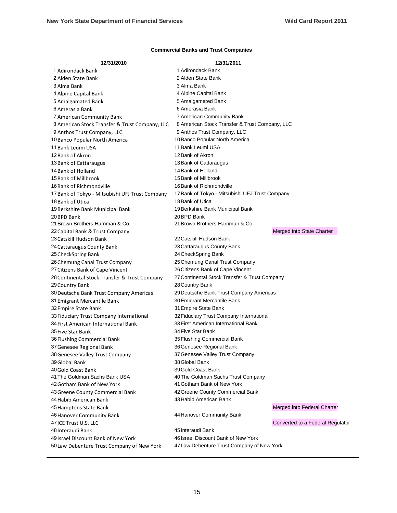| 12/31/2010                                      | 12/31/2011                                      |                                  |
|-------------------------------------------------|-------------------------------------------------|----------------------------------|
| 1 Adirondack Bank                               | 1 Adirondack Bank                               |                                  |
| 2 Alden State Bank                              | 2 Alden State Bank                              |                                  |
| 3 Alma Bank                                     | 3 Alma Bank                                     |                                  |
| 4 Alpine Capital Bank                           | 4 Alpine Capital Bank                           |                                  |
| 5 Amalgamated Bank                              | 5 Amalgamated Bank                              |                                  |
| 6 Amerasia Bank                                 | 6 Amerasia Bank                                 |                                  |
| 7 American Community Bank                       | 7 American Community Bank                       |                                  |
| 8 American Stock Transfer & Trust Company, LLC  | 8 American Stock Transfer & Trust Company, LLC  |                                  |
| 9 Anthos Trust Company, LLC                     | 9 Anthos Trust Company, LLC                     |                                  |
| 10 Banco Popular North America                  | 10 Banco Popular North America                  |                                  |
| 11 Bank Leumi USA                               | 11 Bank Leumi USA                               |                                  |
| 12 Bank of Akron                                | 12 Bank of Akron                                |                                  |
| 13 Bank of Cattaraugus                          | 13 Bank of Cattaraugus                          |                                  |
| 14 Bank of Holland                              | 14 Bank of Holland                              |                                  |
| 15 Bank of Millbrook                            | 15 Bank of Millbrook                            |                                  |
| 16 Bank of Richmondville                        | 16 Bank of Richmondville                        |                                  |
| 17 Bank of Tokyo - Mitsubishi UFJ Trust Company | 17 Bank of Tokyo - Mitsubishi UFJ Trust Company |                                  |
| 18 Bank of Utica                                | 18 Bank of Utica                                |                                  |
| 19 Berkshire Bank Municipal Bank                | 19 Berkshire Bank Municipal Bank                |                                  |
| 20 BPD Bank                                     | 20 BPD Bank                                     |                                  |
| 21 Brown Brothers Harriman & Co.                | 21 Brown Brothers Harriman & Co.                |                                  |
| 22 Capital Bank & Trust Company                 |                                                 | Merged into State Charter        |
| 23 Catskill Hudson Bank                         | 22 Catskill Hudson Bank                         |                                  |
| 24 Cattaraugus County Bank                      | 23 Cattaraugus County Bank                      |                                  |
| 25 CheckSpring Bank                             | 24 CheckSpring Bank                             |                                  |
| 26 Chemung Canal Trust Company                  | 25 Chemung Canal Trust Company                  |                                  |
| 27 Citizens Bank of Cape Vincent                | 26 Citizens Bank of Cape Vincent                |                                  |
| 28 Continental Stock Transfer & Trust Company   | 27 Continental Stock Transfer & Trust Company   |                                  |
| 29 Country Bank                                 | 28 Country Bank                                 |                                  |
| 30 Deutsche Bank Trust Company Americas         | 29 Deutsche Bank Trust Company Americas         |                                  |
| 31 Emigrant Mercantile Bank                     | 30 Emigrant Mercantile Bank                     |                                  |
| 32 Empire State Bank                            | 31 Empire State Bank                            |                                  |
| 33 Fiduciary Trust Company International        | 32 Fiduciary Trust Company International        |                                  |
| 34 First American International Bank            | 33 First American International Bank            |                                  |
| 35 Five Star Bank                               | 34 Five Star Bank                               |                                  |
| 36 Flushing Commercial Bank                     | 35 Flushing Commercial Bank                     |                                  |
| 37 Genesee Regional Bank                        | 36 Genesee Regional Bank                        |                                  |
| 38 Genesee Valley Trust Company                 | 37 Genesee Valley Trust Company                 |                                  |
| 39 Global Bank                                  | 38 Global Bank                                  |                                  |
| 40 Gold Coast Bank                              | 39 Gold Coast Bank                              |                                  |
| 41 The Goldman Sachs Bank USA                   | 40 The Goldman Sachs Trust Company              |                                  |
| 42 Gotham Bank of New York                      | 41 Gotham Bank of New York                      |                                  |
| 43 Greene County Commercial Bank                | 42 Greene County Commercial Bank                |                                  |
| 44 Habib American Bank                          | 43 Habib American Bank                          |                                  |
| 45 Hamptons State Bank                          |                                                 | Merged into Federal Charter      |
| 46 Hanover Community Bank                       | 44 Hanover Community Bank                       |                                  |
| 47 ICE Trust U.S. LLC                           |                                                 | Converted to a Federal Regulator |
| 48 Interaudi Bank                               | 45 Interaudi Bank                               |                                  |
| 49 Israel Discount Bank of New York             | 46 Israel Discount Bank of New York             |                                  |
| 50 Law Debenture Trust Company of New York      | 47 Law Debenture Trust Company of New York      |                                  |

#### **Commercial Banks and Trust Companies**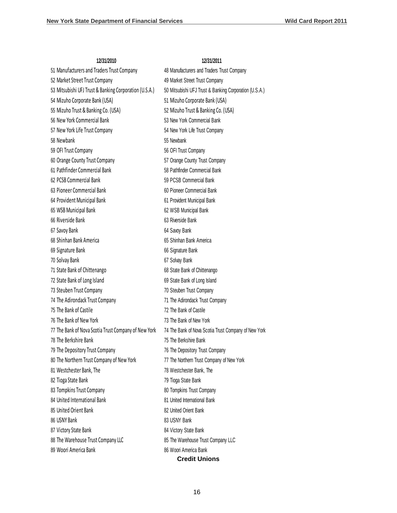| 51 Manufacturers and Traders Trust Company             | 48 Manufacturers and Traders Trust Company             |
|--------------------------------------------------------|--------------------------------------------------------|
| 52 Market Street Trust Company                         | 49 Market Street Trust Company                         |
| 53 Mitsubishi UFJ Trust & Banking Corporation (U.S.A.) | 50 Mitsubishi UFJ Trust & Banking Corporation (U.S.A.) |
| 54 Mizuho Corporate Bank (USA)                         | 51 Mizuho Corporate Bank (USA)                         |
| 55 Mizuho Trust & Banking Co. (USA)                    | 52 Mizuho Trust & Banking Co. (USA)                    |
| 56 New York Commercial Bank                            | 53 New York Commercial Bank                            |
| 57 New York Life Trust Company                         | 54 New York Life Trust Company                         |
| 58 Newbank                                             | 55 Newbank                                             |
| 59 OFI Trust Company                                   | 56 OFI Trust Company                                   |
| 60 Orange County Trust Company                         | 57 Orange County Trust Company                         |
| 61 Pathfinder Commercial Bank                          | 58 Pathfinder Commercial Bank                          |
| 62 PCSB Commercial Bank                                |                                                        |
| 63 Pioneer Commercial Bank                             | 59 PCSB Commercial Bank<br>60 Pioneer Commercial Bank  |
|                                                        |                                                        |
| 64 Provident Municipal Bank                            | 61 Provident Municipal Bank                            |
| 65 WSB Municipal Bank<br>66 Riverside Bank             | 62 WSB Municipal Bank                                  |
|                                                        | 63 Riverside Bank                                      |
| 67 Savoy Bank                                          | 64 Savoy Bank                                          |
| 68 Shinhan Bank America                                | 65 Shinhan Bank America                                |
| 69 Signature Bank                                      | 66 Signature Bank                                      |
| 70 Solvay Bank                                         | 67 Solvay Bank                                         |
| 71 State Bank of Chittenango                           | 68 State Bank of Chittenango                           |
| 72 State Bank of Long Island                           | 69 State Bank of Long Island                           |
| 73 Steuben Trust Company                               | 70 Steuben Trust Company                               |
| 74 The Adirondack Trust Company                        | 71 The Adirondack Trust Company                        |
| 75 The Bank of Castile                                 | 72 The Bank of Castile                                 |
| 76 The Bank of New York                                | 73 The Bank of New York                                |
| 77 The Bank of Nova Scotia Trust Company of New York   | 74 The Bank of Nova Scotia Trust Company of New York   |
| 78 The Berkshire Bank                                  | 75 The Berkshire Bank                                  |
| 79 The Depository Trust Company                        | 76 The Depository Trust Company                        |
| 80 The Northern Trust Company of New York              | 77 The Northern Trust Company of New York              |
| 81 Westchester Bank, The                               | 78 Westchester Bank, The                               |
| 82 Tioga State Bank                                    | 79 Tioga State Bank                                    |
| 83 Tompkins Trust Company                              | 80 Tompkins Trust Company                              |
| 84 United International Bank                           | 81 United International Bank                           |
| 85 United Orient Bank                                  | 82 United Orient Bank                                  |
| 86 USNY Bank                                           | 83 USNY Bank                                           |
| 87 Victory State Bank                                  | 84 Victory State Bank                                  |
| 88 The Warehouse Trust Company LLC                     | 85 The Warehouse Trust Company LLC                     |
| 89 Woori America Bank                                  | 86 Woori America Bank                                  |
|                                                        | <b>Credit Unions</b>                                   |

#### **12/31/2010 12/31/2011**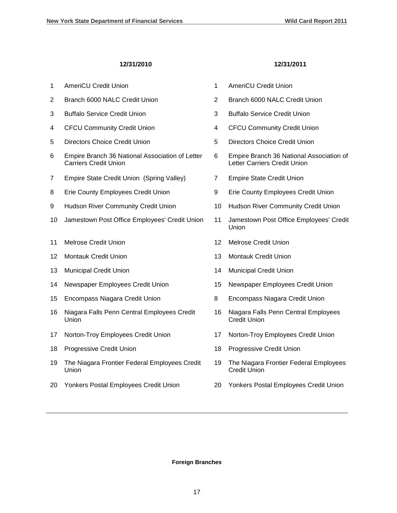#### **12/31/2010 12/31/2011**

| 1              | <b>AmeriCU Credit Union</b>                                                     | 1              | <b>AmeriCU Credit Union</b>                                              |
|----------------|---------------------------------------------------------------------------------|----------------|--------------------------------------------------------------------------|
| $\overline{2}$ | Branch 6000 NALC Credit Union                                                   | $\overline{2}$ | Branch 6000 NALC Credit Union                                            |
| 3              | <b>Buffalo Service Credit Union</b>                                             | 3              | <b>Buffalo Service Credit Union</b>                                      |
| 4              | <b>CFCU Community Credit Union</b>                                              | $\overline{4}$ | <b>CFCU Community Credit Union</b>                                       |
| 5              | <b>Directors Choice Credit Union</b>                                            | 5              | <b>Directors Choice Credit Union</b>                                     |
| 6              | Empire Branch 36 National Association of Letter<br><b>Carriers Credit Union</b> | 6              | Empire Branch 36 National Association of<br>Letter Carriers Credit Union |
| 7              | Empire State Credit Union (Spring Valley)                                       | 7              | <b>Empire State Credit Union</b>                                         |
| 8              | Erie County Employees Credit Union                                              | 9              | Erie County Employees Credit Union                                       |
| 9              | Hudson River Community Credit Union                                             | 10             | Hudson River Community Credit Union                                      |
| 10             | Jamestown Post Office Employees' Credit Union                                   | 11             | Jamestown Post Office Employees' Credit<br>Union                         |
| 11             | <b>Melrose Credit Union</b>                                                     | 12             | <b>Melrose Credit Union</b>                                              |
| 12             | <b>Montauk Credit Union</b>                                                     | 13             | <b>Montauk Credit Union</b>                                              |
| 13             | <b>Municipal Credit Union</b>                                                   | 14             | <b>Municipal Credit Union</b>                                            |
| 14             | Newspaper Employees Credit Union                                                | 15             | Newspaper Employees Credit Union                                         |
| 15             | Encompass Niagara Credit Union                                                  | 8              | Encompass Niagara Credit Union                                           |
| 16             | Niagara Falls Penn Central Employees Credit<br>Union                            | 16             | Niagara Falls Penn Central Employees<br><b>Credit Union</b>              |
| 17             | Norton-Troy Employees Credit Union                                              | 17             | Norton-Troy Employees Credit Union                                       |
| 18             | Progressive Credit Union                                                        | 18             | Progressive Credit Union                                                 |
| 19             | The Niagara Frontier Federal Employees Credit<br>Union                          | 19             | The Niagara Frontier Federal Employees<br><b>Credit Union</b>            |
| 20             | Yonkers Postal Employees Credit Union                                           | 20             | Yonkers Postal Employees Credit Union                                    |

**Foreign Branches**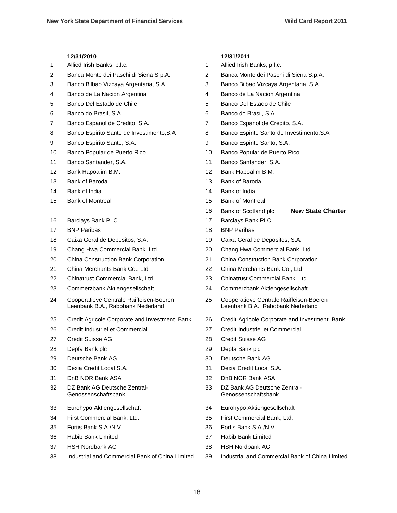# **12/31/2010 12/31/2011** Allied Irish Banks, p.l.c. 1 Allied Irish Banks, p.l.c. Banca Monte dei Paschi di Siena S.p.A. 2 Banca Monte dei Paschi di Siena S.p.A. Banco Bilbao Vizcaya Argentaria, S.A. 3 Banco Bilbao Vizcaya Argentaria, S.A. 4 Banco de La Nacion Argentina 1996 100 km under the Banco de La Nacion Argentina 5 Banco Del Estado de Chile 6 anos 5 Banco Del Estado de Chile 6 Banco do Brasil, S.A. 6 Banco do Brasil, S.A. Banco Espanol de Credito, S.A. 7 Banco Espanol de Credito, S.A. 8 Banco Espirito Santo de Investimento, S.A 8 Banco Espirito Santo de Investimento, S.A 9 Banco Espirito Santo, S.A. 68 and S.A. 88 and S.A. 88 Banco Espirito Santo, S.A. 10 Banco Popular de Puerto Rico 10 Banco Popular de Puerto Rico 11 Banco Santander, S.A. 11 Banco Santander, S.A. 12 Bank Hapoalim B.M. 12 Bank Hapoalim B.M. 13 Bank of Baroda 13 Bank of Baroda Bank of India 14 Bank of India Bank of Montreal 15 Bank of Montreal Bank of Scotland plc **New State Charter** 16 Barclays Bank PLC 17 Barclays Bank PLC 17 BNP Paribas 18 BNP Paribas 18 BNP Paribas Caixa Geral de Depositos, S.A. 19 Caixa Geral de Depositos, S.A. Chang Hwa Commercial Bank, Ltd. 20 Chang Hwa Commercial Bank, Ltd. China Construction Bank Corporation 21 China Construction Bank Corporation China Merchants Bank Co., Ltd 22 China Merchants Bank Co., Ltd Chinatrust Commercial Bank, Ltd. 23 Chinatrust Commercial Bank, Ltd. Commerzbank Aktiengesellschaft 24 Commerzbank Aktiengesellschaft Cooperatieve Centrale Raiffeisen-Boeren Leenbank B.A., Rabobank Nederland Cooperatieve Centrale Raiffeisen-Boeren Leenbank B.A., Rabobank Nederland Credit Agricole Corporate and Investment Bank 26 Credit Agricole Corporate and Investment Bank

- Credit Industriel et Commercial 27 Credit Industriel et Commercial
- Credit Suisse AG 28 Credit Suisse AG
- Depfa Bank plc 29 Depfa Bank plc
- 
- 
- 
- DZ Bank AG Deutsche Zentral-Genossenschaftsbank
- Eurohypo Aktiengesellschaft 34 Eurohypo Aktiengesellschaft
- 
- 
- 
- 
- 
- 
- 
- 
- 
- Deutsche Bank AG 30 Deutsche Bank AG
- Dexia Credit Local S.A. 31 Dexia Credit Local S.A.
- 31 DnB NOR Bank ASA 32 DnB NOR Bank ASA
	- DZ Bank AG Deutsche Zentral-Genossenschaftsbank
	-
- First Commercial Bank, Ltd. 35 First Commercial Bank, Ltd.
- Fortis Bank S.A./N.V. 36 Fortis Bank S.A./N.V.
- Habib Bank Limited 37 Habib Bank Limited
- HSH Nordbank AG 38 HSH Nordbank AG
- Industrial and Commercial Bank of China Limited 39 Industrial and Commercial Bank of China Limited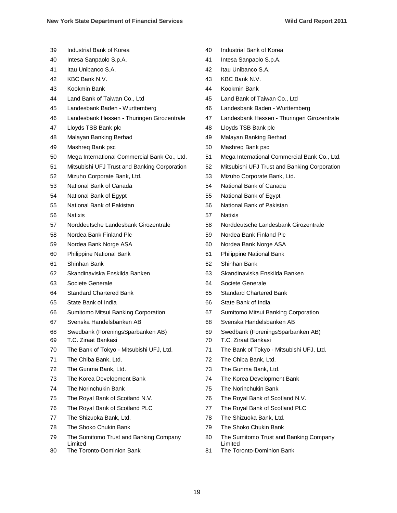- Industrial Bank of Korea 40 Industrial Bank of Korea
- Intesa Sanpaolo S.p.A. 41 Intesa Sanpaolo S.p.A.
- Itau Unibanco S.A. 42 Itau Unibanco S.A.
- KBC Bank N.V. 43 KBC Bank N.V.
- Kookmin Bank 44 Kookmin Bank
- Land Bank of Taiwan Co., Ltd 45 Land Bank of Taiwan Co., Ltd
- Landesbank Baden Wurttemberg 46 Landesbank Baden Wurttemberg
- 
- 
- 
- 
- Mega International Commercial Bank Co., Ltd. 51 Mega International Commercial Bank Co., Ltd.
- Mitsubishi UFJ Trust and Banking Corporation 52 Mitsubishi UFJ Trust and Banking Corporation
- Mizuho Corporate Bank, Ltd. 53 Mizuho Corporate Bank, Ltd.
- 
- 
- 
- Natixis 57 Natixis
- 
- 
- 
- 
- Shinhan Bank 62 Shinhan Bank
- 
- 
- Standard Chartered Bank 65 Standard Chartered Bank
- 
- 
- 
- [Swedbank \(ForeningsSparbanken AB\)](http://www.ffiec.gov/nicpubweb/nicweb/InstitutionProfile.aspx?parID_Rssd=1852952&parDT_END=99991231) 69 [Swedbank \(ForeningsSparbanken AB\)](http://www.ffiec.gov/nicpubweb/nicweb/InstitutionProfile.aspx?parID_Rssd=1852952&parDT_END=99991231)
- T.C. Ziraat Bankasi 70 T.C. Ziraat Bankasi
- 
- 
- 
- The Korea Development Bank 74 The Korea Development Bank
- 
- 
- The Royal Bank of Scotland PLC 77 The Royal Bank of Scotland PLC
- 
- The Shoko Chukin Bank 79 The Shoko Chukin Bank
- The Sumitomo Trust and Banking Company Limited
- 80 The Toronto-Dominion Bank 61 The Toronto-Dominion Bank
- 
- 
- 
- 
- 
- 
- 
- Landesbank Hessen Thuringen Girozentrale 47 Landesbank Hessen Thuringen Girozentrale
- 47 Lloyds TSB Bank plc 48 Lloyds TSB Bank plc
- Malayan Banking Berhad 49 Malayan Banking Berhad
- 49 Mashreq Bank psc 50 Mashreq Bank psc
	-
	-
	-
- National Bank of Canada 54 National Bank of Canada
- National Bank of Egypt 55 National Bank of Egypt
- National Bank of Pakistan 56 National Bank of Pakistan
	-
- Norddeutsche Landesbank Girozentrale 58 Norddeutsche Landesbank Girozentrale
- Nordea Bank Finland Plc 59 Nordea Bank Finland Plc
- Nordea Bank Norge ASA 60 Nordea Bank Norge ASA
- Philippine National Bank 61 Philippine National Bank
	-
- Skandinaviska Enskilda Banken 63 Skandinaviska Enskilda Banken
- Societe Generale 64 Societe Generale
	-
- State Bank of India 66 State Bank of India
- Sumitomo Mitsui Banking Corporation 67 Sumitomo Mitsui Banking Corporation
- Svenska Handelsbanken AB 68 Svenska Handelsbanken AB
	-
	-
- The Bank of Tokyo Mitsubishi UFJ, Ltd. 71 The Bank of Tokyo Mitsubishi UFJ, Ltd.
- 71 The Chiba Bank, Ltd. 72 The Chiba Bank, Ltd.
- The Gunma Bank, Ltd. 73 The Gunma Bank, Ltd.
	-
- The Norinchukin Bank 75 The Norinchukin Bank
- The Royal Bank of Scotland N.V. 76 The Royal Bank of Scotland N.V.
	-
- The Shizuoka Bank, Ltd. 78 The Shizuoka Bank, Ltd.
	-
	- The Sumitomo Trust and Banking Company Limited
	-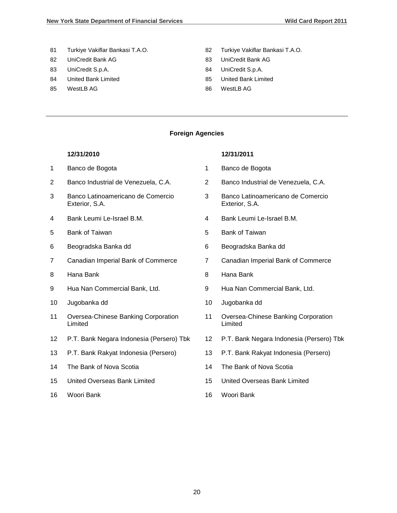- 81 Turkiye Vakiflar Bankasi T.A.O. 82 Turkiye Vakiflar Bankasi T.A.O.
- 82 UniCredit Bank AG 683 UniCredit Bank AG
- 
- 
- 85 WestLB AG 86 WestLB AG
- 
- 
- 83 UniCredit S.p.A. 684 UniCredit S.p.A.
- 84 United Bank Limited **85** United Bank Limited
	-

#### **Foreign Agencies**

#### **12/31/2010 12/31/2011**

- 1 Banco de Bogota 1 Banco de Bogota
- 
- 3 Banco Latinoamericano de Comercio Exterior, S.A.
- 
- 5 Bank of Taiwan 5 Bank of Taiwan
- 6 Beogradska Banka dd 6 Beogradska Banka dd
- 7 Canadian Imperial Bank of Commerce 7 Canadian Imperial Bank of Commerce
- 
- 9 Hua Nan Commercial Bank, Ltd. 9 Hua Nan Commercial Bank, Ltd.
- 10 Jugobanka dd 10 Jugobanka dd
- 11 Oversea-Chinese Banking Corporation Limited
- 12 P.T. Bank Negara Indonesia (Persero) Tbk 12 P.T. Bank Negara Indonesia (Persero) Tbk
- 13 P.T. Bank Rakyat Indonesia (Persero) 13 P.T. Bank Rakyat Indonesia (Persero)
- 14 The Bank of Nova Scotia 14 The Bank of Nova Scotia
- 15 United Overseas Bank Limited 15 United Overseas Bank Limited
- 16 Woori Bank 16 Woori Bank

# 2 Banco Industrial de Venezuela, C.A. 2 Banco Industrial de Venezuela, C.A. 3 Banco Latinoamericano de Comercio Exterior, S.A. 4 Bank Leumi Le-Israel B.M. 4 Bank Leumi Le-Israel B.M.

- 
- 
- 8 Hana Bank 8 Hana Bank
	-
	-
	- 11 Oversea-Chinese Banking Corporation Limited
	-
	-
	-
	-
	-